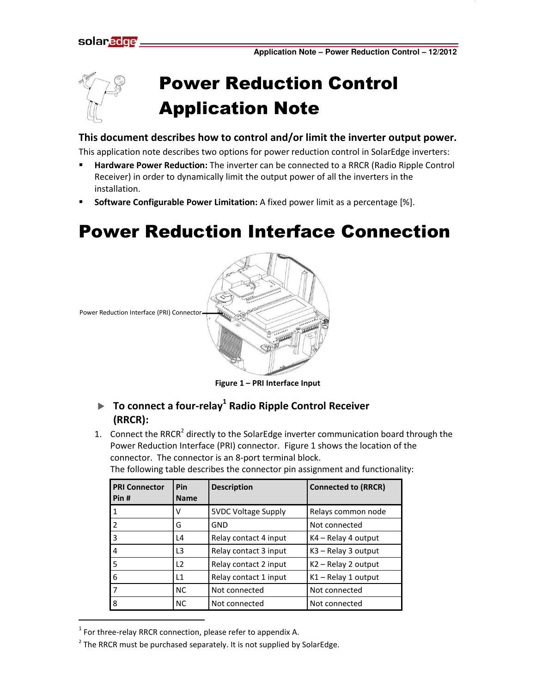

# Power Reduction Control Application Note

### **This document describes how to control and/or limit the inverter output power.**

This application note describes two options for power reduction control in SolarEdge inverters:

- **Hardware Power Reduction:** The inverter can be connected to a RRCR (Radio Ripple Control Receiver) in order to dynamically limit the output power of all the inverters in the installation.
- **Software Configurable Power Limitation:** A fixed power limit as a percentage [%].

# Power Reduction Interface Connection



**Figure 1 – PRI Interface Input**

### ▶ To connect a four-relay<sup>1</sup> Radio Ripple Control Receiver **(RRCR):**

1. Connect the RRCR<sup>2</sup> directly to the SolarEdge inverter communication board through the Power Reduction Interface (PRI) connector. Figure 1 shows the location of the connector. The connector is an 8-port terminal block.

The following table describes the connector pin assignment and functionality:

| <b>PRI Connector</b><br>Pin# | Pin<br><b>Name</b> | <b>Description</b>         | <b>Connected to (RRCR)</b> |
|------------------------------|--------------------|----------------------------|----------------------------|
| 1                            | v                  | <b>5VDC Voltage Supply</b> | Relays common node         |
| 2                            | G                  | GND                        | Not connected              |
| 3                            | L4                 | Relay contact 4 input      | K4 – Relay 4 output        |
| 4                            | L <sub>3</sub>     | Relay contact 3 input      | $K3 -$ Relay 3 output      |
| 5                            | $\overline{12}$    | Relay contact 2 input      | $K2 -$ Relay 2 output      |
| 6                            | $\mathsf{L}1$      | Relay contact 1 input      | $K1 -$ Relay 1 output      |
| 7                            | <b>NC</b>          | Not connected              | Not connected              |
| 8                            | <b>NC</b>          | Not connected              | Not connected              |

 $1$  For three-relay RRCR connection, please refer to appendix A.

 $\overline{\phantom{0}}$ 

 $2$  The RRCR must be purchased separately. It is not supplied by SolarEdge.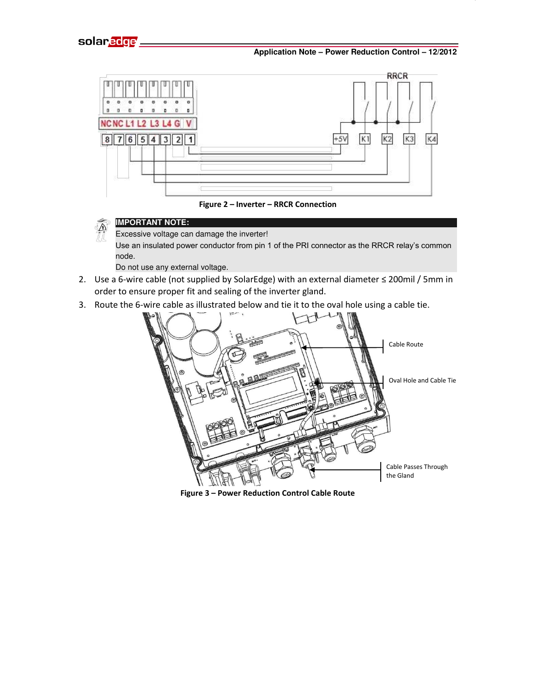





Excessive voltage can damage the inverter!

Use an insulated power conductor from pin 1 of the PRI connector as the RRCR relay's common node.

Do not use any external voltage.

- 2. Use a 6-wire cable (not supplied by SolarEdge) with an external diameter  $\leq$  200mil / 5mm in order to ensure proper fit and sealing of the inverter gland.
- 3. Route the 6-wire cable as illustrated below and tie it to the oval hole using a cable tie.



**Figure 3 – Power Reduction Control Cable Route**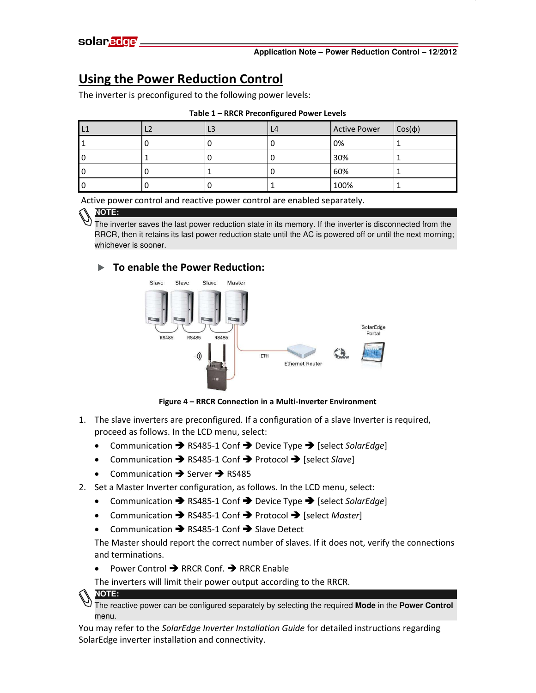## **Using the Power Reduction Control**

The inverter is preconfigured to the following power levels:

| ъ. | ᄕ | L3 | L <sub>4</sub> | <b>Active Power</b> | $Cos(\phi)$ |
|----|---|----|----------------|---------------------|-------------|
|    |   |    |                | 0%                  |             |
|    |   |    |                | 30%                 |             |
|    |   |    |                | 60%                 |             |
|    |   |    |                | 100%                |             |

| Table 1 - RRCR Preconfigured Power Levels |  |
|-------------------------------------------|--|
|-------------------------------------------|--|

Active power control and reactive power control are enabled separately.

### **NOTE:**

The inverter saves the last power reduction state in its memory. If the inverter is disconnected from the RRCR, then it retains its last power reduction state until the AC is powered off or until the next morning; whichever is sooner.

### **To enable the Power Reduction:**



**Figure 4 – RRCR Connection in a Multi-Inverter Environment** 

- 1.The slave inverters are preconfigured. If a configuration of a slave Inverter is required, proceed as follows. In the LCD menu, select:
	- Communication → RS485-1 Conf → Device Type → [select *SolarEdge*]
	- Communication **→** RS485-1 Conf → Protocol → [select *Slave*]
	- Communication  $\rightarrow$  Server  $\rightarrow$  RS485
- 2. Set a Master Inverter configuration, as follows. In the LCD menu, select:
	- Communication **→** RS485-1 Conf → Device Type → [select *SolarEdge*]
	- Communication → RS485-1 Conf → Protocol → [select *Master*]
	- Communication  $\rightarrow$  RS485-1 Conf  $\rightarrow$  Slave Detect

The Master should report the correct number of slaves. If it does not, verify the connections and terminations.

• Power Control  $\rightarrow$  RRCR Conf.  $\rightarrow$  RRCR Enable

The inverters will limit their power output according to the RRCR.

```
NOTE:
```
The reactive power can be configured separately by selecting the required **Mode** in the **Power Control** menu.

You may refer to the *SolarEdge Inverter Installation Guide* for detailed instructions regarding SolarEdge inverter installation and connectivity.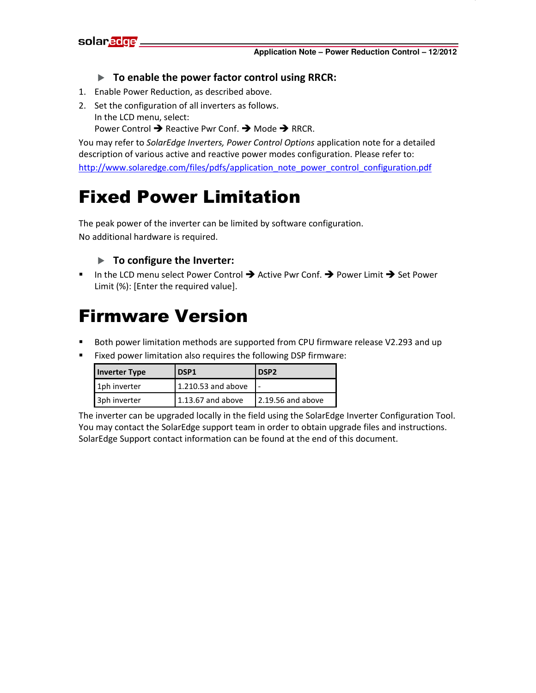### **To enable the power factor control using RRCR:**

- 1. Enable Power Reduction, as described above.
- 2. Set the configuration of all inverters as follows. In the LCD menu, select:

Power Control  $\rightarrow$  Reactive Pwr Conf.  $\rightarrow$  Mode  $\rightarrow$  RRCR.

You may refer to *SolarEdge Inverters, Power Control Options* application note for a detailed description of various active and reactive power modes configuration. Please refer to: [http://www.solaredge.com/files/pdfs/application\\_note\\_power\\_control\\_configuration.pdf](http://www.solaredge.com/files/pdfs/application_note_power_control_configuration.pdf)

# Fixed Power Limitation

The peak power of the inverter can be limited by software configuration. No additional hardware is required.

### **To configure the Inverter:**

In the LCD menu select Power Control  $\rightarrow$  Active Pwr Conf.  $\rightarrow$  Power Limit  $\rightarrow$  Set Power Limit (%): [Enter the required value].

## Firmware Version

- Both power limitation methods are supported from CPU firmware release V2.293 and up
- Fixed power limitation also requires the following DSP firmware:

| <b>Inverter Type</b> | DSP <sub>1</sub>    | DSP <sub>2</sub>  |
|----------------------|---------------------|-------------------|
| 1ph inverter         | 1.210.53 and above  |                   |
| 3ph inverter         | $1.13.67$ and above | 2.19.56 and above |

The inverter can be upgraded locally in the field using the SolarEdge Inverter Configuration Tool. You may contact the SolarEdge support team in order to obtain upgrade files and instructions. [SolarEdge Support contact information](#page-4-0) can be found at the end of this document.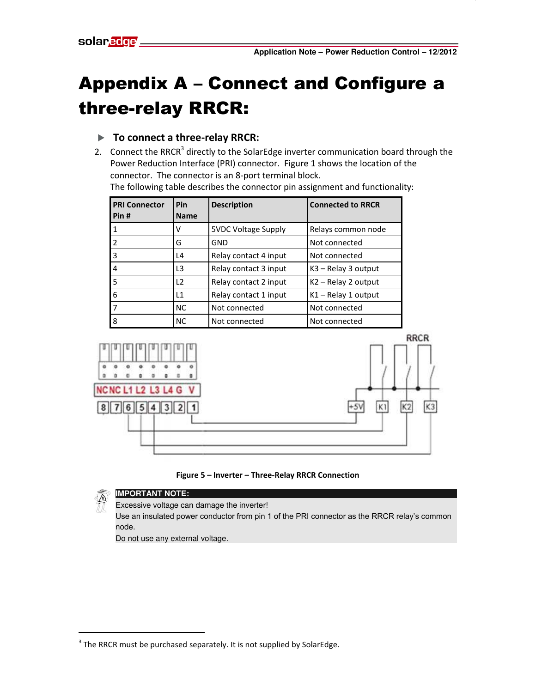# <span id="page-4-0"></span>Appendix A – Connect and Configure a three-relay RRCR:

### **To connect a three-relay RRCR:**

2. Connect the RRCR<sup>3</sup> directly to the SolarEdge inverter communication board through the Power Reduction Interface (PRI) connector. Figure 1 shows the location of the connector. The connector is an 8-port terminal block. The following table describes the connector pin assignment and functionality:

| <b>PRI Connector</b><br>Pin# | Pin<br><b>Name</b> | <b>Description</b>         | <b>Connected to RRCR</b> |
|------------------------------|--------------------|----------------------------|--------------------------|
| 1                            | v                  | <b>5VDC Voltage Supply</b> | Relays common node       |
| $\overline{2}$               | G                  | GND                        | Not connected            |
| 3                            | L4                 | Relay contact 4 input      | Not connected            |
| 4                            | L3                 | Relay contact 3 input      | $K3 -$ Relay 3 output    |
| 5                            | L2                 | Relay contact 2 input      | $K2 -$ Relay 2 output    |
| 6                            | L1                 | Relay contact 1 input      | $K1 -$ Relay 1 output    |
| 7                            | <b>NC</b>          | Not connected              | Not connected            |
| 8                            | NC                 | Not connected              | Not connected            |



**Figure 5 – Inverter – Three-Relay RRCR Connection** 



 $\overline{a}$ 

**IMPORTANT NOTE:** 

Excessive voltage can damage the inverter!

Use an insulated power conductor from pin 1 of the PRI connector as the RRCR relay's common node.

Do not use any external voltage.

 $3$  The RRCR must be purchased separately. It is not supplied by SolarEdge.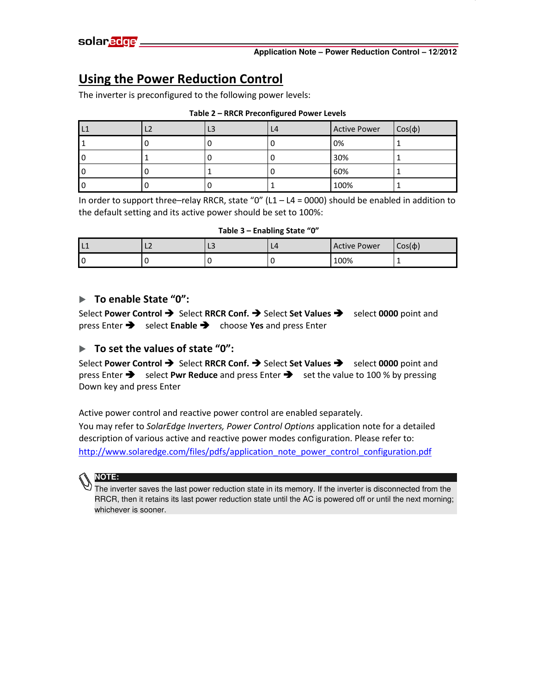## **Using the Power Reduction Control**

The inverter is preconfigured to the following power levels:

| l L1 | L <sub>3</sub> | L <sub>4</sub> | <b>Active Power</b> | $Cos(\phi)$ |
|------|----------------|----------------|---------------------|-------------|
|      |                |                | 0%                  |             |
| 1 C  |                |                | 30%                 |             |
| I G  |                |                | 60%                 |             |
| 10   |                |                | 100%                |             |

### **Table 2 – RRCR Preconfigured Power Levels**

In order to support three–relay RRCR, state " $0$ " (L1 – L4 = 0000) should be enabled in addition to the default setting and its active power should be set to 100%:

### **Table 3 – Enabling State "0"**

| . .<br>ட | └ | -- | <b>L4</b> | <b>Active Power</b> | $Cos(\phi)$ |
|----------|---|----|-----------|---------------------|-------------|
|          |   |    |           | 100%                |             |

### ▶ To enable State "0":

Select Power Control  $\rightarrow$  Select RRCR Conf.  $\rightarrow$  Select Set Values  $\rightarrow$  select 0000 point and **press Enter**  $\rightarrow$  select **Enable**  $\rightarrow$  choose **Yes** and press Enter

### ▶ To set the values of state "0":

Select Power Control → Select RRCR Conf. → Select Set Values → select 0000 point and press Enter **>** select **Pwr Reduce** and press Enter **>** set the value to 100 % by pressing Down key and press Enter

Active power control and reactive power control are enabled separately.

You may refer to *SolarEdge Inverters, Power Control Options* application note for a detailed description of various active and reactive power modes configuration. Please refer to: [http://www.solaredge.com/files/pdfs/application\\_note\\_power\\_control\\_configuration.pdf](http://www.solaredge.com/files/pdfs/application_note_power_control_configuration.pdf)

### **NOTE:**

 $T$  The inverter saves the last power reduction state in its memory. If the inverter is disconnected from the RRCR, then it retains its last power reduction state until the AC is powered off or until the next morning; whichever is sooner.